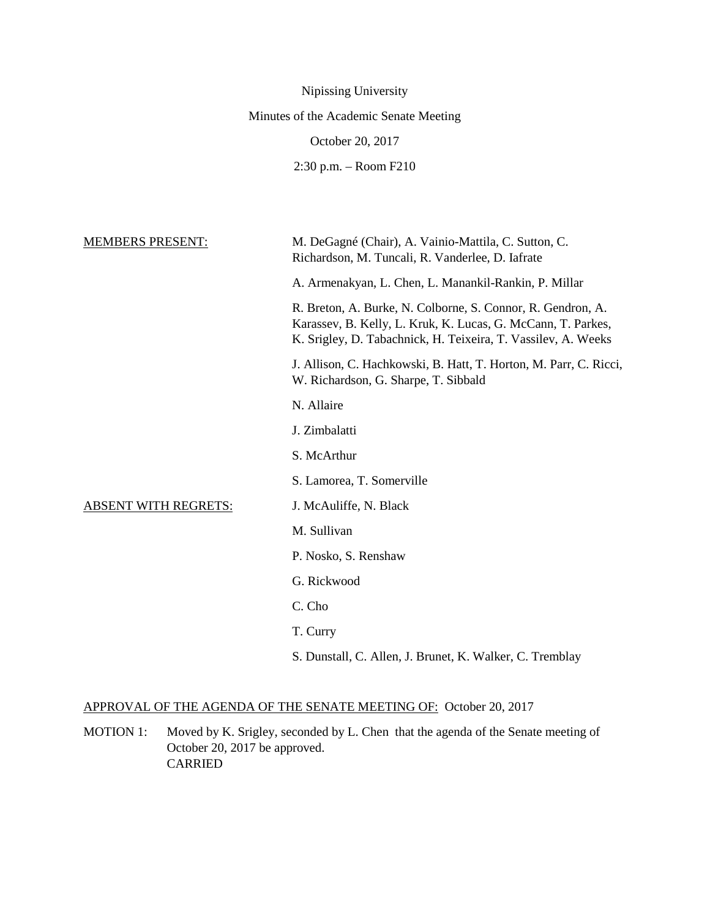| Nipissing University                                                                                                                                                                         |
|----------------------------------------------------------------------------------------------------------------------------------------------------------------------------------------------|
| Minutes of the Academic Senate Meeting                                                                                                                                                       |
| October 20, 2017                                                                                                                                                                             |
| $2:30$ p.m. $-$ Room F210                                                                                                                                                                    |
|                                                                                                                                                                                              |
|                                                                                                                                                                                              |
| M. DeGagné (Chair), A. Vainio-Mattila, C. Sutton, C.<br>Richardson, M. Tuncali, R. Vanderlee, D. Iafrate                                                                                     |
| A. Armenakyan, L. Chen, L. Manankil-Rankin, P. Millar                                                                                                                                        |
| R. Breton, A. Burke, N. Colborne, S. Connor, R. Gendron, A.<br>Karassev, B. Kelly, L. Kruk, K. Lucas, G. McCann, T. Parkes,<br>K. Srigley, D. Tabachnick, H. Teixeira, T. Vassilev, A. Weeks |
| J. Allison, C. Hachkowski, B. Hatt, T. Horton, M. Parr, C. Ricci,<br>W. Richardson, G. Sharpe, T. Sibbald                                                                                    |
| N. Allaire                                                                                                                                                                                   |
| J. Zimbalatti                                                                                                                                                                                |
| S. McArthur                                                                                                                                                                                  |
| S. Lamorea, T. Somerville                                                                                                                                                                    |
| J. McAuliffe, N. Black                                                                                                                                                                       |
| M. Sullivan                                                                                                                                                                                  |
| P. Nosko, S. Renshaw                                                                                                                                                                         |
| G. Rickwood                                                                                                                                                                                  |
| C. Cho                                                                                                                                                                                       |
| T. Curry                                                                                                                                                                                     |
| S. Dunstall, C. Allen, J. Brunet, K. Walker, C. Tremblay                                                                                                                                     |
|                                                                                                                                                                                              |

# APPROVAL OF THE AGENDA OF THE SENATE MEETING OF: October 20, 2017

MOTION 1: Moved by K. Srigley, seconded by L. Chen that the agenda of the Senate meeting of October 20, 2017 be approved. CARRIED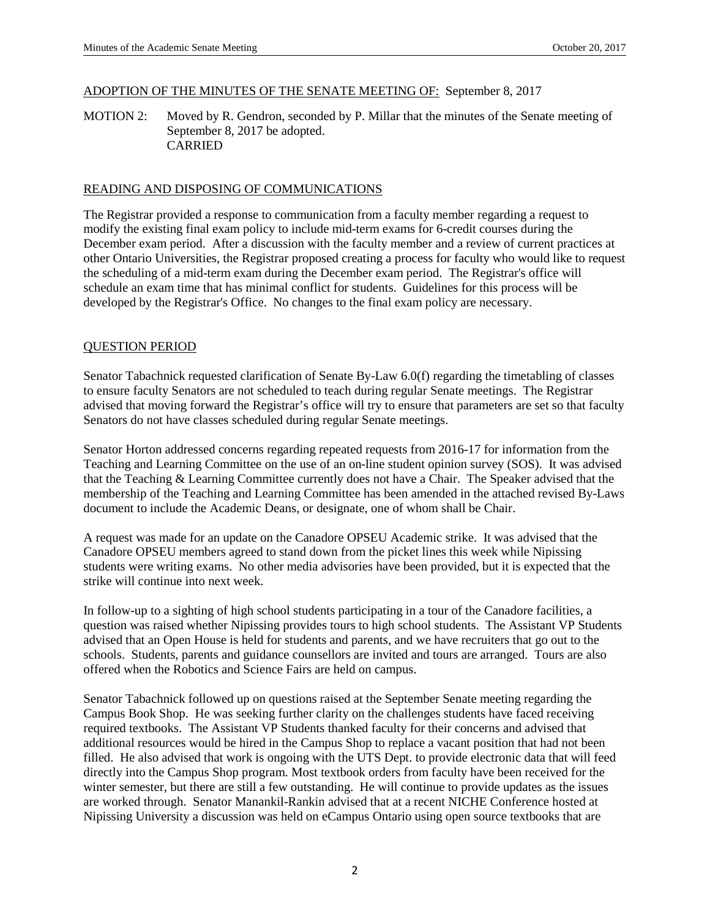### ADOPTION OF THE MINUTES OF THE SENATE MEETING OF: September 8, 2017

MOTION 2: Moved by R. Gendron, seconded by P. Millar that the minutes of the Senate meeting of September 8, 2017 be adopted. CARRIED

#### READING AND DISPOSING OF COMMUNICATIONS

The Registrar provided a response to communication from a faculty member regarding a request to modify the existing final exam policy to include mid-term exams for 6-credit courses during the December exam period. After a discussion with the faculty member and a review of current practices at other Ontario Universities, the Registrar proposed creating a process for faculty who would like to request the scheduling of a mid-term exam during the December exam period. The Registrar's office will schedule an exam time that has minimal conflict for students. Guidelines for this process will be developed by the Registrar's Office. No changes to the final exam policy are necessary.

#### QUESTION PERIOD

Senator Tabachnick requested clarification of Senate By-Law 6.0(f) regarding the timetabling of classes to ensure faculty Senators are not scheduled to teach during regular Senate meetings. The Registrar advised that moving forward the Registrar's office will try to ensure that parameters are set so that faculty Senators do not have classes scheduled during regular Senate meetings.

Senator Horton addressed concerns regarding repeated requests from 2016-17 for information from the Teaching and Learning Committee on the use of an on-line student opinion survey (SOS). It was advised that the Teaching & Learning Committee currently does not have a Chair. The Speaker advised that the membership of the Teaching and Learning Committee has been amended in the attached revised By-Laws document to include the Academic Deans, or designate, one of whom shall be Chair.

A request was made for an update on the Canadore OPSEU Academic strike. It was advised that the Canadore OPSEU members agreed to stand down from the picket lines this week while Nipissing students were writing exams. No other media advisories have been provided, but it is expected that the strike will continue into next week.

In follow-up to a sighting of high school students participating in a tour of the Canadore facilities, a question was raised whether Nipissing provides tours to high school students. The Assistant VP Students advised that an Open House is held for students and parents, and we have recruiters that go out to the schools. Students, parents and guidance counsellors are invited and tours are arranged. Tours are also offered when the Robotics and Science Fairs are held on campus.

Senator Tabachnick followed up on questions raised at the September Senate meeting regarding the Campus Book Shop. He was seeking further clarity on the challenges students have faced receiving required textbooks. The Assistant VP Students thanked faculty for their concerns and advised that additional resources would be hired in the Campus Shop to replace a vacant position that had not been filled. He also advised that work is ongoing with the UTS Dept. to provide electronic data that will feed directly into the Campus Shop program. Most textbook orders from faculty have been received for the winter semester, but there are still a few outstanding. He will continue to provide updates as the issues are worked through. Senator Manankil-Rankin advised that at a recent NICHE Conference hosted at Nipissing University a discussion was held on eCampus Ontario using open source textbooks that are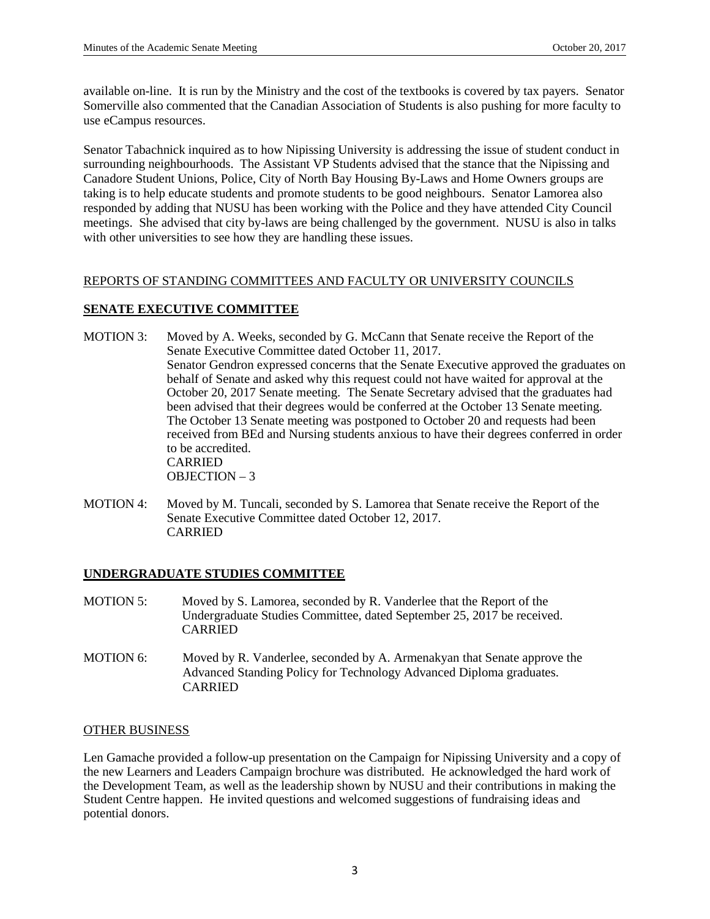available on-line. It is run by the Ministry and the cost of the textbooks is covered by tax payers. Senator Somerville also commented that the Canadian Association of Students is also pushing for more faculty to use eCampus resources.

Senator Tabachnick inquired as to how Nipissing University is addressing the issue of student conduct in surrounding neighbourhoods. The Assistant VP Students advised that the stance that the Nipissing and Canadore Student Unions, Police, City of North Bay Housing By-Laws and Home Owners groups are taking is to help educate students and promote students to be good neighbours. Senator Lamorea also responded by adding that NUSU has been working with the Police and they have attended City Council meetings. She advised that city by-laws are being challenged by the government. NUSU is also in talks with other universities to see how they are handling these issues.

# REPORTS OF STANDING COMMITTEES AND FACULTY OR UNIVERSITY COUNCILS

# **SENATE EXECUTIVE COMMITTEE**

- MOTION 3: Moved by A. Weeks, seconded by G. McCann that Senate receive the Report of the Senate Executive Committee dated October 11, 2017. Senator Gendron expressed concerns that the Senate Executive approved the graduates on behalf of Senate and asked why this request could not have waited for approval at the October 20, 2017 Senate meeting. The Senate Secretary advised that the graduates had been advised that their degrees would be conferred at the October 13 Senate meeting. The October 13 Senate meeting was postponed to October 20 and requests had been received from BEd and Nursing students anxious to have their degrees conferred in order to be accredited. CARRIED OBJECTION – 3
- MOTION 4: Moved by M. Tuncali, seconded by S. Lamorea that Senate receive the Report of the Senate Executive Committee dated October 12, 2017. CARRIED

# **UNDERGRADUATE STUDIES COMMITTEE**

- MOTION 5: Moved by S. Lamorea, seconded by R. Vanderlee that the Report of the Undergraduate Studies Committee, dated September 25, 2017 be received. CARRIED
- MOTION 6: Moved by R. Vanderlee, seconded by A. Armenakyan that Senate approve the Advanced Standing Policy for Technology Advanced Diploma graduates. CARRIED

#### OTHER BUSINESS

Len Gamache provided a follow-up presentation on the Campaign for Nipissing University and a copy of the new Learners and Leaders Campaign brochure was distributed. He acknowledged the hard work of the Development Team, as well as the leadership shown by NUSU and their contributions in making the Student Centre happen. He invited questions and welcomed suggestions of fundraising ideas and potential donors.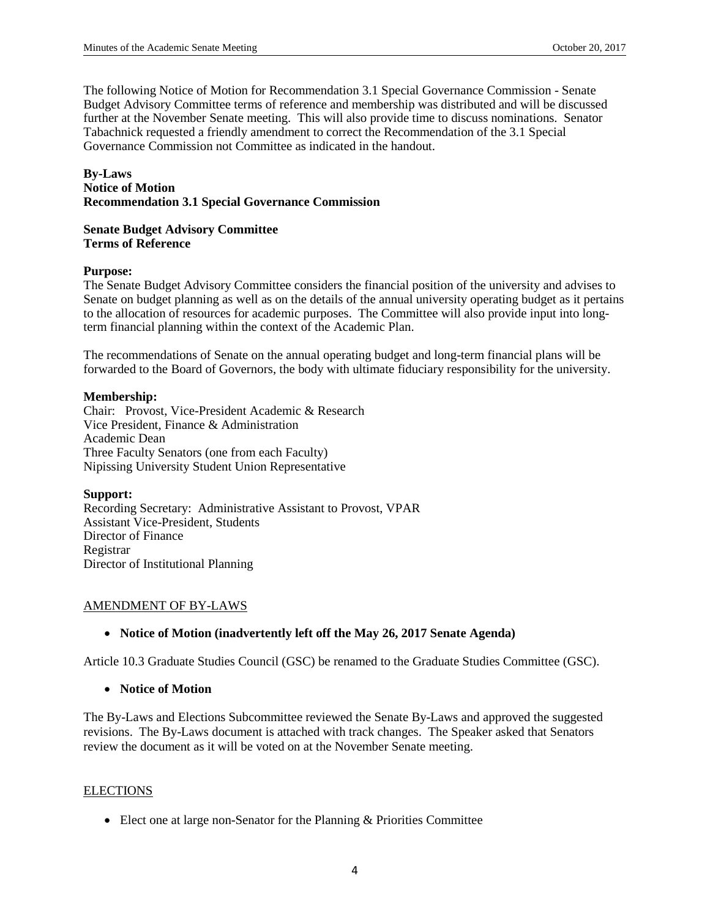The following Notice of Motion for Recommendation 3.1 Special Governance Commission - Senate Budget Advisory Committee terms of reference and membership was distributed and will be discussed further at the November Senate meeting. This will also provide time to discuss nominations. Senator Tabachnick requested a friendly amendment to correct the Recommendation of the 3.1 Special Governance Commission not Committee as indicated in the handout.

### **By-Laws Notice of Motion Recommendation 3.1 Special Governance Commission**

#### **Senate Budget Advisory Committee Terms of Reference**

#### **Purpose:**

The Senate Budget Advisory Committee considers the financial position of the university and advises to Senate on budget planning as well as on the details of the annual university operating budget as it pertains to the allocation of resources for academic purposes. The Committee will also provide input into longterm financial planning within the context of the Academic Plan.

The recommendations of Senate on the annual operating budget and long-term financial plans will be forwarded to the Board of Governors, the body with ultimate fiduciary responsibility for the university.

#### **Membership:**

Chair: Provost, Vice-President Academic & Research Vice President, Finance & Administration Academic Dean Three Faculty Senators (one from each Faculty) Nipissing University Student Union Representative

# **Support:**

Recording Secretary: Administrative Assistant to Provost, VPAR Assistant Vice-President, Students Director of Finance Registrar Director of Institutional Planning

# AMENDMENT OF BY-LAWS

# • **Notice of Motion (inadvertently left off the May 26, 2017 Senate Agenda)**

Article 10.3 Graduate Studies Council (GSC) be renamed to the Graduate Studies Committee (GSC).

# • **Notice of Motion**

The By-Laws and Elections Subcommittee reviewed the Senate By-Laws and approved the suggested revisions. The By-Laws document is attached with track changes. The Speaker asked that Senators review the document as it will be voted on at the November Senate meeting.

#### ELECTIONS

• Elect one at large non-Senator for the Planning & Priorities Committee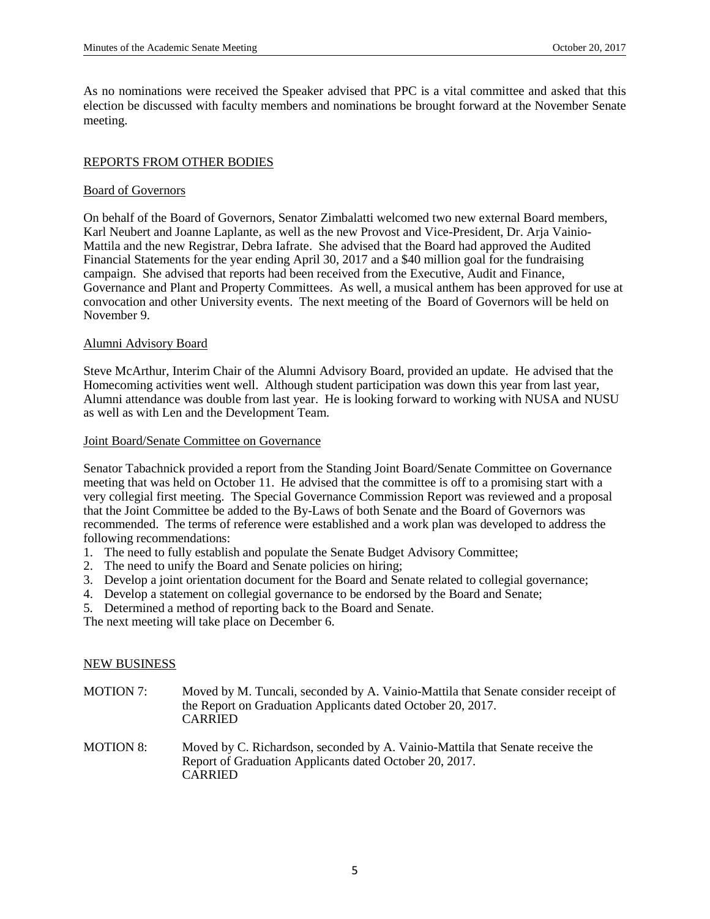As no nominations were received the Speaker advised that PPC is a vital committee and asked that this election be discussed with faculty members and nominations be brought forward at the November Senate meeting.

### REPORTS FROM OTHER BODIES

### Board of Governors

On behalf of the Board of Governors, Senator Zimbalatti welcomed two new external Board members, Karl Neubert and Joanne Laplante, as well as the new Provost and Vice-President, Dr. Arja Vainio-Mattila and the new Registrar, Debra Iafrate. She advised that the Board had approved the Audited Financial Statements for the year ending April 30, 2017 and a \$40 million goal for the fundraising campaign. She advised that reports had been received from the Executive, Audit and Finance, Governance and Plant and Property Committees. As well, a musical anthem has been approved for use at convocation and other University events. The next meeting of the Board of Governors will be held on November 9.

### Alumni Advisory Board

Steve McArthur, Interim Chair of the Alumni Advisory Board, provided an update. He advised that the Homecoming activities went well. Although student participation was down this year from last year, Alumni attendance was double from last year. He is looking forward to working with NUSA and NUSU as well as with Len and the Development Team.

### Joint Board/Senate Committee on Governance

Senator Tabachnick provided a report from the Standing Joint Board/Senate Committee on Governance meeting that was held on October 11. He advised that the committee is off to a promising start with a very collegial first meeting. The Special Governance Commission Report was reviewed and a proposal that the Joint Committee be added to the By-Laws of both Senate and the Board of Governors was recommended. The terms of reference were established and a work plan was developed to address the following recommendations:

- 1. The need to fully establish and populate the Senate Budget Advisory Committee;
- 2. The need to unify the Board and Senate policies on hiring;
- 3. Develop a joint orientation document for the Board and Senate related to collegial governance;
- 4. Develop a statement on collegial governance to be endorsed by the Board and Senate;
- 5. Determined a method of reporting back to the Board and Senate.

The next meeting will take place on December 6.

#### NEW BUSINESS

- MOTION 7: Moved by M. Tuncali, seconded by A. Vainio-Mattila that Senate consider receipt of the Report on Graduation Applicants dated October 20, 2017. CARRIED
- MOTION 8: Moved by C. Richardson, seconded by A. Vainio-Mattila that Senate receive the Report of Graduation Applicants dated October 20, 2017. CARRIED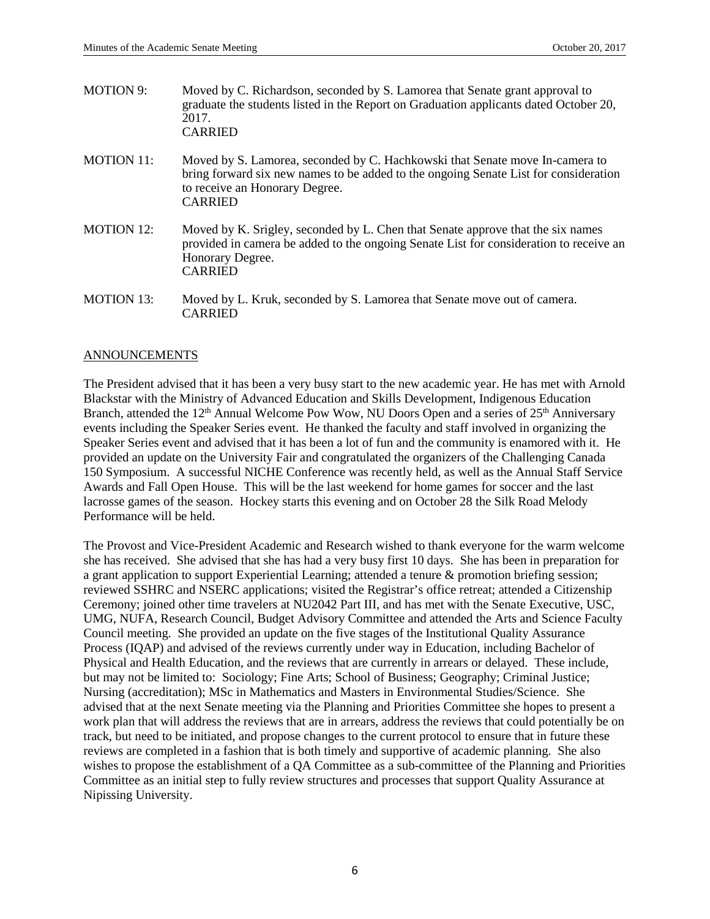| <b>MOTION 9:</b>  | Moved by C. Richardson, seconded by S. Lamorea that Senate grant approval to<br>graduate the students listed in the Report on Graduation applicants dated October 20,<br>2017.<br><b>CARRIED</b>                         |
|-------------------|--------------------------------------------------------------------------------------------------------------------------------------------------------------------------------------------------------------------------|
| <b>MOTION 11:</b> | Moved by S. Lamorea, seconded by C. Hachkowski that Senate move In-camera to<br>bring forward six new names to be added to the ongoing Senate List for consideration<br>to receive an Honorary Degree.<br><b>CARRIED</b> |
| <b>MOTION 12:</b> | Moved by K. Srigley, seconded by L. Chen that Senate approve that the six names<br>provided in camera be added to the ongoing Senate List for consideration to receive an<br>Honorary Degree.<br><b>CARRIED</b>          |
| <b>MOTION 13:</b> | Moved by L. Kruk, seconded by S. Lamorea that Senate move out of camera.<br><b>CARRIED</b>                                                                                                                               |

### ANNOUNCEMENTS

The President advised that it has been a very busy start to the new academic year. He has met with Arnold Blackstar with the Ministry of Advanced Education and Skills Development, Indigenous Education Branch, attended the 12<sup>th</sup> Annual Welcome Pow Wow, NU Doors Open and a series of 25<sup>th</sup> Anniversary events including the Speaker Series event. He thanked the faculty and staff involved in organizing the Speaker Series event and advised that it has been a lot of fun and the community is enamored with it. He provided an update on the University Fair and congratulated the organizers of the Challenging Canada 150 Symposium. A successful NICHE Conference was recently held, as well as the Annual Staff Service Awards and Fall Open House. This will be the last weekend for home games for soccer and the last lacrosse games of the season. Hockey starts this evening and on October 28 the Silk Road Melody Performance will be held.

The Provost and Vice-President Academic and Research wished to thank everyone for the warm welcome she has received. She advised that she has had a very busy first 10 days. She has been in preparation for a grant application to support Experiential Learning; attended a tenure & promotion briefing session; reviewed SSHRC and NSERC applications; visited the Registrar's office retreat; attended a Citizenship Ceremony; joined other time travelers at NU2042 Part III, and has met with the Senate Executive, USC, UMG, NUFA, Research Council, Budget Advisory Committee and attended the Arts and Science Faculty Council meeting. She provided an update on the five stages of the Institutional Quality Assurance Process (IQAP) and advised of the reviews currently under way in Education, including Bachelor of Physical and Health Education, and the reviews that are currently in arrears or delayed. These include, but may not be limited to: Sociology; Fine Arts; School of Business; Geography; Criminal Justice; Nursing (accreditation); MSc in Mathematics and Masters in Environmental Studies/Science. She advised that at the next Senate meeting via the Planning and Priorities Committee she hopes to present a work plan that will address the reviews that are in arrears, address the reviews that could potentially be on track, but need to be initiated, and propose changes to the current protocol to ensure that in future these reviews are completed in a fashion that is both timely and supportive of academic planning. She also wishes to propose the establishment of a QA Committee as a sub-committee of the Planning and Priorities Committee as an initial step to fully review structures and processes that support Quality Assurance at Nipissing University.